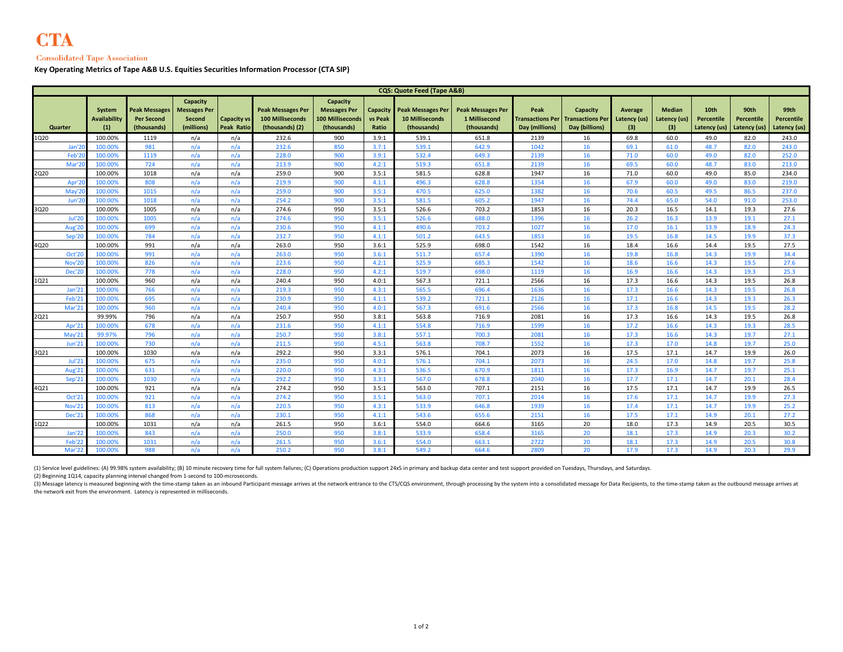## **Consolidated Tape Association**

**Key Operating Metrics of Tape A&B U.S. Equities Securities Information Processor (CTA SIP)**

| <b>CQS: Quote Feed (Tape A&amp;B)</b> |                               |                                                   |                                                                |                                         |                                                                 |                                                                           |                                     |                                                                   |                                                          |                                                   |                                                       |                                       |                                      |                                           |                                    |                                    |
|---------------------------------------|-------------------------------|---------------------------------------------------|----------------------------------------------------------------|-----------------------------------------|-----------------------------------------------------------------|---------------------------------------------------------------------------|-------------------------------------|-------------------------------------------------------------------|----------------------------------------------------------|---------------------------------------------------|-------------------------------------------------------|---------------------------------------|--------------------------------------|-------------------------------------------|------------------------------------|------------------------------------|
| Quarter                               | System<br>Availability<br>(1) | Peak Messages<br><b>Per Second</b><br>(thousands) | Capacity<br><b>Messages Per</b><br><b>Second</b><br>(millions) | <b>Capacity vs</b><br><b>Peak Ratio</b> | <b>Peak Messages Per</b><br>100 Milliseconds<br>(thousands) (2) | Capacity<br><b>Messages Per</b><br><b>100 Milliseconds</b><br>(thousands) | Capacity<br><b>vs Peak</b><br>Ratio | <b>Peak Messages Per</b><br><b>10 Milliseconds</b><br>(thousands) | <b>Peak Messages Per</b><br>1 Millisecond<br>(thousands) | Peak<br><b>Transactions Per</b><br>Day (millions) | Capacity<br><b>Transactions Per</b><br>Day (billions) | <b>Average</b><br>Latency (us)<br>(3) | <b>Median</b><br>Latency (us)<br>(3) | 10th<br><b>Percentile</b><br>Latency (us) | 90th<br>Percentile<br>Latency (us) | 99th<br>Percentile<br>Latency (us) |
| 1Q20                                  | 100.00%                       | 1119                                              | n/a                                                            | n/a                                     | 232.6                                                           | 900                                                                       | 3.9:1                               | 539.1                                                             | 651.8                                                    | 2139                                              | 16                                                    | 69.8                                  | 60.0                                 | 49.0                                      | 82.0                               | 243.0                              |
| Jan'2                                 | 100.00%                       | 981                                               | n/a                                                            | n/a                                     | 232.6                                                           | 850                                                                       | 3.7:1                               | 539.1                                                             | 642.9                                                    | 1042                                              | 16                                                    | 69.1                                  | 61.0                                 | 48.7                                      | 82.0                               | 243.0                              |
| Feb'2                                 | 100.00%                       | 1119                                              | n/a                                                            | n/a                                     | 228.0                                                           | 900                                                                       | 3.9:1                               | 532.4                                                             | 649.3                                                    | 2139                                              | 16                                                    | 71.0                                  | 60.0                                 | 49.0                                      | 82.0                               | 252.0                              |
| Mar'2                                 | 100.00%                       | 724                                               | n/a                                                            | n/a                                     | 213.9                                                           | 900                                                                       | 4.2:1                               | 519.3                                                             | 651.8                                                    | 2139                                              | 16                                                    | 69.5                                  | 60.0                                 | 48.7                                      | 83.0                               | 213.0                              |
| 2Q20                                  | 100.00%                       | 1018                                              | n/a                                                            | n/a                                     | 259.0                                                           | 900                                                                       | 3.5:1                               | 581.5                                                             | 628.8                                                    | 1947                                              | 16                                                    | 71.0                                  | 60.0                                 | 49.0                                      | 85.0                               | 234.0                              |
| Apr'2                                 | 100.009                       | 808                                               | n/a                                                            | n/a                                     | 219.9                                                           | 900                                                                       | 4.1:1                               | 496.3                                                             | 628.8                                                    | 1354                                              | 16                                                    | 67.9                                  | 60.0                                 | 49.0                                      | 83.0                               | 219.0                              |
| May'2                                 | 100.00%                       | 1015                                              | n/a                                                            | n/a                                     | 259.0                                                           | 900                                                                       | 3.5:1                               | 470.5                                                             | 625.0                                                    | 1382                                              | 16                                                    | 70.6                                  | 60.5                                 | 49.5                                      | 86.5                               | 237.0                              |
| Jun'2                                 | 100.00%                       | 1018                                              | n/a                                                            | n/a                                     | 254.2                                                           | 900                                                                       | 3.5:1                               | 581.5                                                             | 605.2                                                    | 1947                                              | 16                                                    | 74.4                                  | 65.0                                 | 54.0                                      | 91.0                               | 253.0                              |
| 3Q20                                  | 100.00%                       | 1005                                              | n/a                                                            | n/a                                     | 274.6                                                           | 950                                                                       | 3.5:1                               | 526.6                                                             | 703.2                                                    | 1853                                              | 16                                                    | 20.3                                  | 16.5                                 | 14.1                                      | 19.3                               | 27.6                               |
| <b>Jul'20</b>                         | 100.00%                       | 1005                                              | n/a                                                            | n/a                                     | 274.6                                                           | 950                                                                       | 3.5:1                               | 526.6                                                             | 688.0                                                    | 1396                                              | 16                                                    | 26.2                                  | 16.3                                 | 13.9                                      | 19.1                               | 27.1                               |
| Aug'20                                | 100.00%                       | 699                                               | n/a                                                            | n/a                                     | 230.6                                                           | 950                                                                       | 4.1:1                               | 490.6                                                             | 703.2                                                    | 1027                                              | 16                                                    | 17.0                                  | 16.1                                 | 13.9                                      | 18.9                               | 24.3                               |
| Sep'20                                | 100.00%                       | 784                                               | n/a                                                            | n/a                                     | 232.7                                                           | 950                                                                       | 4.1:1                               | 501.2                                                             | 643.5                                                    | 1853                                              | 16                                                    | 19.5                                  | 16.8                                 | 14.5                                      | 19.9                               | 37.3                               |
| 4Q20                                  | 100.00%                       | 991                                               | n/a                                                            | n/a                                     | 263.0                                                           | 950                                                                       | 3.6:1                               | 525.9                                                             | 698.0                                                    | 1542                                              | 16                                                    | 18.4                                  | 16.6                                 | 14.4                                      | 19.5                               | 27.5                               |
| Oct'20                                | 100.00%                       | 991                                               | n/a                                                            | n/a                                     | 263.0                                                           | 950                                                                       | 3.6:1                               | 511.7                                                             | 657.4                                                    | 1390                                              | 16                                                    | 19.8                                  | 16.8                                 | 14.3                                      | 19.9                               | 34.4                               |
| Nov'20                                | 100.00%                       | 826                                               | n/a                                                            | n/a                                     | 223.6                                                           | 950                                                                       | 4.2:1                               | 525.9                                                             | 685.3                                                    | 1542                                              | 16                                                    | 18.6                                  | 16.6                                 | 14.3                                      | 19.5                               | 27.6                               |
| <b>Dec'20</b>                         | 100.00%                       | 778                                               | n/a                                                            | n/a                                     | 228.0                                                           | 950                                                                       | 4.2:1                               | 519.7                                                             | 698.0                                                    | 1119                                              | 16                                                    | 16.9                                  | 16.6                                 | 14.3                                      | 19.3                               | 25.3                               |
| 1Q21                                  | 100.00%                       | 960                                               | n/a                                                            | n/a                                     | 240.4                                                           | 950                                                                       | 4.0:1                               | 567.3                                                             | 721.1                                                    | 2566                                              | 16                                                    | 17.3                                  | 16.6                                 | 14.3                                      | 19.5                               | 26.8                               |
| Jan'21                                | 100.009                       | 766                                               | n/a                                                            | n/a                                     | 219.3                                                           | 950                                                                       | 4.3:1                               | 565.5                                                             | 696.4                                                    | 1636                                              | 16                                                    | 17.3                                  | 16.6                                 | 14.3                                      | 19.5                               | 26.8                               |
| Feb'21                                | 100.00%                       | 695                                               | n/a                                                            | n/a                                     | 230.9                                                           | 950                                                                       | 4.1:1                               | 539.2                                                             | 721.1                                                    | 2126                                              | 16                                                    | 17.1                                  | 16.6                                 | 14.3                                      | 19.3                               | 26.3                               |
| Mar'21                                | 100.00%                       | 960                                               | n/a                                                            | n/a                                     | 240.4                                                           | 950                                                                       | 4.0:1                               | 567.3                                                             | 691.6                                                    | 2566                                              | 16                                                    | 17.3                                  | 16.8                                 | 14.5                                      | 19.5                               | 28.2                               |
| 2Q21                                  | 99.99%                        | 796                                               | n/a                                                            | n/a                                     | 250.7                                                           | 950                                                                       | 3.8:1                               | 563.8                                                             | 716.9                                                    | 2081                                              | 16                                                    | 17.3                                  | 16.6                                 | 14.3                                      | 19.5                               | 26.8                               |
| Apr'21                                | 100.00%                       | 678                                               | n/a                                                            | n/a                                     | 231.6                                                           | 950                                                                       | 4.1:1                               | 554.8                                                             | 716.9                                                    | 1599                                              | 16                                                    | 17.2                                  | 16.6                                 | 14.3                                      | 19.3                               | 28.5                               |
| May'21                                | 99.97%                        | 796                                               | n/a                                                            | n/a                                     | 250.7                                                           | 950                                                                       | 3.8:1                               | 557.1                                                             | 700.3                                                    | 2081                                              | 16                                                    | 17.3                                  | 16.6                                 | 14.3                                      | 19.7                               | 27.1                               |
| <b>Jun'21</b>                         | 100.00%                       | 730                                               | n/a                                                            | n/a                                     | 211.5                                                           | 950                                                                       | 4.5:1                               | 563.8                                                             | 708.7                                                    | 1552                                              | 16                                                    | 17.3                                  | 17.0                                 | 14.8                                      | 19.7                               | 25.0                               |
| 3Q21<br><b>Jul'21</b>                 | 100.00%<br>100.009            | 1030<br>675                                       | n/a                                                            | n/a                                     | 292.2                                                           | 950<br>950                                                                | 3.3:1<br>4.0:1                      | 576.1<br>576.1                                                    | 704.1                                                    | 2073                                              | 16<br>16                                              | 17.5<br>24.5                          | 17.1<br>17.0                         | 14.7<br>14.8                              | 19.9<br>19.7                       | 26.0<br>25.8                       |
| Aug'21                                | 100.00%                       | 631                                               | n/a<br>n/a                                                     | n/a<br>n/a                              | 235.0<br>220.0                                                  | 950                                                                       | 4.3:1                               | 536.5                                                             | 704.1<br>670.9                                           | 2073<br>1811                                      | 16                                                    | 17.3                                  | 16.9                                 | 14.7                                      | 19.7                               | 25.1                               |
| Sep'21                                | 100.00%                       | 1030                                              | n/a                                                            | n/a                                     | 292.2                                                           | 950                                                                       | 3.3:1                               | 567.0                                                             | 678.8                                                    | 2040                                              | 16                                                    | 17.7                                  | 17.1                                 | 14.7                                      | 20.1                               | 28.4                               |
|                                       | 100.00%                       | 921                                               | n/a                                                            | n/a                                     | 274.2                                                           | 950                                                                       | 3.5:1                               | 563.0                                                             | 707.1                                                    | 2151                                              | 16                                                    | 17.5                                  | 17.1                                 | 14.7                                      | 19.9                               | 26.5                               |
| 4Q21<br>Oct'21                        | 100.00%                       | 921                                               | n/a                                                            |                                         | 274.2                                                           | 950                                                                       | 3.5:1                               | 563.0                                                             | 707.1                                                    | 2014                                              | 16                                                    | 17.6                                  | 17.1                                 | 14.7                                      | 19.9                               | 27.3                               |
| <b>Nov'21</b>                         | 100.00%                       | 813                                               | n/a                                                            | n/a<br>n/a                              | 220.5                                                           | 950                                                                       | 4.3:1                               | 533.9                                                             | 646.8                                                    | 1939                                              | 16                                                    | 17.4                                  | 17.1                                 | 14.7                                      | 19.9                               | 25.2                               |
| <b>Dec'21</b>                         | 100.009                       | 868                                               | n/a                                                            | n/a                                     | 230.1                                                           | 950                                                                       | 4.1:1                               | 543.6                                                             | 655.6                                                    | 2151                                              | 16                                                    | 17.5                                  | 17.1                                 | 14.9                                      | 20.1                               | 27.2                               |
| 1Q22                                  | 100.00%                       | 1031                                              | n/a                                                            | n/a                                     | 261.5                                                           | 950                                                                       | 3.6:1                               | 554.0                                                             | 664.6                                                    | 3165                                              | 20                                                    | 18.0                                  | 17.3                                 | 14.9                                      | 20.5                               | 30.5                               |
| Jan'22                                | 100.00%                       | 843                                               | n/a                                                            | n/a                                     | 250.0                                                           | 950                                                                       | 3.8:1                               | 533.9                                                             | 658.4                                                    | 3165                                              | 20                                                    | 18.1                                  | 17.3                                 | 14.9                                      | 20.3                               | 30.2                               |
| Feb'22                                | 100.009                       | 1031                                              | n/a                                                            | n/a                                     | 261.5                                                           | 950                                                                       | 3.6:1                               | 554.0                                                             | 663.1                                                    | 2722                                              | 20                                                    | 18.1                                  | 17.3                                 | 14.9                                      | 20.5                               | 30.8                               |
|                                       |                               |                                                   |                                                                |                                         |                                                                 |                                                                           |                                     |                                                                   |                                                          |                                                   |                                                       |                                       |                                      |                                           |                                    |                                    |
| Mar'22                                | 100.00%                       | 988                                               | n/a                                                            | n/a                                     | 250.2                                                           | 950                                                                       | 3.8:1                               | 549.2                                                             | 664.6                                                    | 2809                                              | 20                                                    | 17.9                                  | 17.3                                 | 14.9                                      | 20.3                               | 29.9                               |

(1) Service level guidelines: (A) 99.98% system availability; (B) 10 minute recovery time for full system failures; (C) Operations production support 24x5 in primary and backup data center and test support provided on Tues

(2) Beginning 1014, capacity planning interval changed from 1-second to 100-mcroseconds.<br>(3) Message latency is measured beginning with the time-stamp taken as an inbound Participant message arrives at the network entrance the network exit from the environment. Latency is represented in milliseconds.